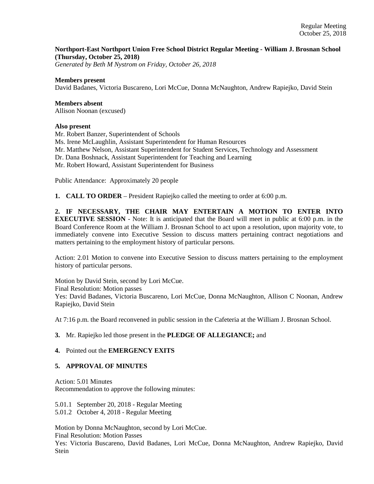## **Northport-East Northport Union Free School District Regular Meeting - William J. Brosnan School (Thursday, October 25, 2018)**

*Generated by Beth M Nystrom on Friday, October 26, 2018*

### **Members present**

David Badanes, Victoria Buscareno, Lori McCue, Donna McNaughton, Andrew Rapiejko, David Stein

## **Members absent**

Allison Noonan (excused)

#### **Also present**

Mr. Robert Banzer, Superintendent of Schools Ms. Irene McLaughlin, Assistant Superintendent for Human Resources Mr. Matthew Nelson, Assistant Superintendent for Student Services, Technology and Assessment Dr. Dana Boshnack, Assistant Superintendent for Teaching and Learning Mr. Robert Howard, Assistant Superintendent for Business

Public Attendance: Approximately 20 people

**1. CALL TO ORDER** – President Rapiejko called the meeting to order at 6:00 p.m.

**2. IF NECESSARY, THE CHAIR MAY ENTERTAIN A MOTION TO ENTER INTO EXECUTIVE SESSION** - Note: It is anticipated that the Board will meet in public at 6:00 p.m. in the Board Conference Room at the William J. Brosnan School to act upon a resolution, upon majority vote, to immediately convene into Executive Session to discuss matters pertaining contract negotiations and matters pertaining to the employment history of particular persons.

Action: 2.01 Motion to convene into Executive Session to discuss matters pertaining to the employment history of particular persons.

Motion by David Stein, second by Lori McCue. Final Resolution: Motion passes Yes: David Badanes, Victoria Buscareno, Lori McCue, Donna McNaughton, Allison C Noonan, Andrew Rapiejko, David Stein

At 7:16 p.m. the Board reconvened in public session in the Cafeteria at the William J. Brosnan School.

## **3.** Mr. Rapiejko led those present in the **PLEDGE OF ALLEGIANCE;** and

### **4.** Pointed out the **EMERGENCY EXITS**

## **5. APPROVAL OF MINUTES**

Action: 5.01 Minutes Recommendation to approve the following minutes:

5.01.1 September 20, 2018 - Regular Meeting 5.01.2 October 4, 2018 - Regular Meeting

Motion by Donna McNaughton, second by Lori McCue. Final Resolution: Motion Passes Yes: Victoria Buscareno, David Badanes, Lori McCue, Donna McNaughton, Andrew Rapiejko, David Stein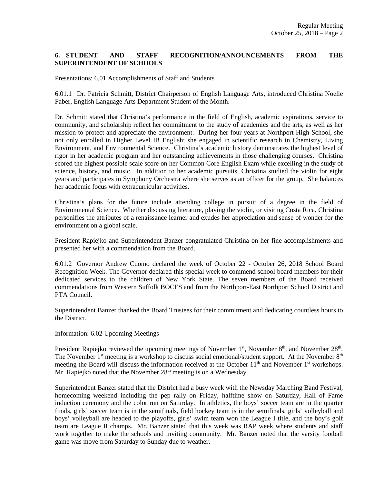# **6. STUDENT AND STAFF RECOGNITION/ANNOUNCEMENTS FROM THE SUPERINTENDENT OF SCHOOLS**

Presentations: 6.01 Accomplishments of Staff and Students

6.01.1 Dr. Patricia Schmitt, District Chairperson of English Language Arts, introduced Christina Noelle Faber, English Language Arts Department Student of the Month.

Dr. Schmitt stated that Christina's performance in the field of English, academic aspirations, service to community, and scholarship reflect her commitment to the study of academics and the arts, as well as her mission to protect and appreciate the environment. During her four years at Northport High School, she not only enrolled in Higher Level IB English; she engaged in scientific research in Chemistry, Living Environment, and Environmental Science. Christina's academic history demonstrates the highest level of rigor in her academic program and her outstanding achievements in those challenging courses. Christina scored the highest possible scale score on her Common Core English Exam while excelling in the study of science, history, and music. In addition to her academic pursuits, Christina studied the violin for eight years and participates in Symphony Orchestra where she serves as an officer for the group. She balances her academic focus with extracurricular activities.

Christina's plans for the future include attending college in pursuit of a degree in the field of Environmental Science. Whether discussing literature, playing the violin, or visiting Costa Rica, Christina personifies the attributes of a renaissance learner and exudes her appreciation and sense of wonder for the environment on a global scale.

President Rapiejko and Superintendent Banzer congratulated Christina on her fine accomplishments and presented her with a commendation from the Board.

6.01.2 Governor Andrew Cuomo declared the week of October 22 - October 26, 2018 School Board Recognition Week. The Governor declared this special week to commend school board members for their dedicated services to the children of New York State. The seven members of the Board received commendations from Western Suffolk BOCES and from the Northport-East Northport School District and PTA Council.

Superintendent Banzer thanked the Board Trustees for their commitment and dedicating countless hours to the District.

Information: 6.02 Upcoming Meetings

President Rapiejko reviewed the upcoming meetings of November 1<sup>st</sup>, November 8<sup>th</sup>, and November 28<sup>th</sup>. The November  $1<sup>st</sup>$  meeting is a workshop to discuss social emotional/student support. At the November  $8<sup>th</sup>$ meeting the Board will discuss the information received at the October 11<sup>th</sup> and November 1<sup>st</sup> workshops. Mr. Rapiejko noted that the November  $28<sup>th</sup>$  meeting is on a Wednesday.

Superintendent Banzer stated that the District had a busy week with the Newsday Marching Band Festival, homecoming weekend including the pep rally on Friday, halftime show on Saturday, Hall of Fame induction ceremony and the color run on Saturday. In athletics, the boys' soccer team are in the quarter finals, girls' soccer team is in the semifinals, field hockey team is in the semifinals, girls' volleyball and boys' volleyball are headed to the playoffs, girls' swim team won the League I title, and the boy's golf team are League II champs. Mr. Banzer stated that this week was RAP week where students and staff work together to make the schools and inviting community. Mr. Banzer noted that the varsity football game was move from Saturday to Sunday due to weather.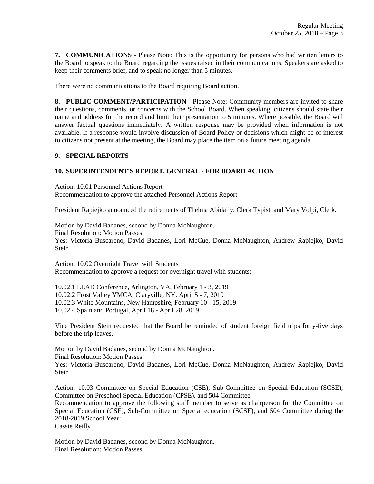**7. COMMUNICATIONS** - Please Note: This is the opportunity for persons who had written letters to the Board to speak to the Board regarding the issues raised in their communications. Speakers are asked to keep their comments brief, and to speak no longer than 5 minutes.

There were no communications to the Board requiring Board action.

**8. PUBLIC COMMENT/PARTICIPATION** - Please Note: Community members are invited to share their questions, comments, or concerns with the School Board. When speaking, citizens should state their name and address for the record and limit their presentation to 5 minutes. Where possible, the Board will answer factual questions immediately. A written response may be provided when information is not available. If a response would involve discussion of Board Policy or decisions which might be of interest to citizens not present at the meeting, the Board may place the item on a future meeting agenda.

### **9. SPECIAL REPORTS**

## **10. SUPERINTENDENT'S REPORT, GENERAL - FOR BOARD ACTION**

Action: 10.01 Personnel Actions Report Recommendation to approve the attached Personnel Actions Report

President Rapiejko announced the retirements of Thelma Abidally, Clerk Typist, and Mary Volpi, Clerk.

Motion by David Badanes, second by Donna McNaughton. Final Resolution: Motion Passes Yes: Victoria Buscareno, David Badanes, Lori McCue, Donna McNaughton, Andrew Rapiejko, David Stein

Action: 10.02 Overnight Travel with Students Recommendation to approve a request for overnight travel with students:

10.02.1 LEAD Conference, Arlington, VA, February 1 - 3, 2019 10.02.2 Frost Valley YMCA, Claryville, NY, April 5 - 7, 2019 10.02.3 White Mountains, New Hampshire, February 10 - 15, 2019 10.02.4 Spain and Portugal, April 18 - April 28, 2019

Vice President Stein requested that the Board be reminded of student foreign field trips forty-five days before the trip leaves.

Motion by David Badanes, second by Donna McNaughton. Final Resolution: Motion Passes Yes: Victoria Buscareno, David Badanes, Lori McCue, Donna McNaughton, Andrew Rapiejko, David Stein

Action: 10.03 Committee on Special Education (CSE), Sub-Committee on Special Education (SCSE), Committee on Preschool Special Education (CPSE), and 504 Committee Recommendation to approve the following staff member to serve as chairperson for the Committee on Special Education (CSE), Sub-Committee on Special education (SCSE), and 504 Committee during the 2018-2019 School Year: Cassie Reilly

Motion by David Badanes, second by Donna McNaughton. Final Resolution: Motion Passes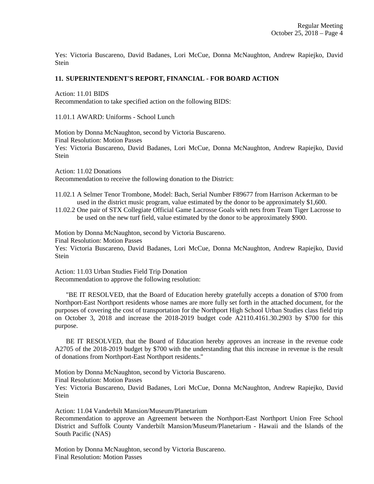Yes: Victoria Buscareno, David Badanes, Lori McCue, Donna McNaughton, Andrew Rapiejko, David Stein

### **11. SUPERINTENDENT'S REPORT, FINANCIAL - FOR BOARD ACTION**

Action: 11.01 BIDS Recommendation to take specified action on the following BIDS:

11.01.1 AWARD: Uniforms - School Lunch

Motion by Donna McNaughton, second by Victoria Buscareno. Final Resolution: Motion Passes Yes: Victoria Buscareno, David Badanes, Lori McCue, Donna McNaughton, Andrew Rapiejko, David **Stein** 

Action: 11.02 Donations Recommendation to receive the following donation to the District:

11.02.1 A Selmer Tenor Trombone, Model: Bach, Serial Number F89677 from Harrison Ackerman to be used in the district music program, value estimated by the donor to be approximately \$1,600.

11.02.2 One pair of STX Collegiate Official Game Lacrosse Goals with nets from Team Tiger Lacrosse to be used on the new turf field, value estimated by the donor to be approximately \$900.

Motion by Donna McNaughton, second by Victoria Buscareno.

Final Resolution: Motion Passes

Yes: Victoria Buscareno, David Badanes, Lori McCue, Donna McNaughton, Andrew Rapiejko, David Stein

Action: 11.03 Urban Studies Field Trip Donation Recommendation to approve the following resolution:

 "BE IT RESOLVED, that the Board of Education hereby gratefully accepts a donation of \$700 from Northport-East Northport residents whose names are more fully set forth in the attached document, for the purposes of covering the cost of transportation for the Northport High School Urban Studies class field trip on October 3, 2018 and increase the 2018-2019 budget code A2110.4161.30.2903 by \$700 for this purpose.

 BE IT RESOLVED, that the Board of Education hereby approves an increase in the revenue code A2705 of the 2018-2019 budget by \$700 with the understanding that this increase in revenue is the result of donations from Northport-East Northport residents."

Motion by Donna McNaughton, second by Victoria Buscareno. Final Resolution: Motion Passes

Yes: Victoria Buscareno, David Badanes, Lori McCue, Donna McNaughton, Andrew Rapiejko, David Stein

Action: 11.04 Vanderbilt Mansion/Museum/Planetarium Recommendation to approve an Agreement between the Northport-East Northport Union Free School District and Suffolk County Vanderbilt Mansion/Museum/Planetarium - Hawaii and the Islands of the South Pacific (NAS)

Motion by Donna McNaughton, second by Victoria Buscareno. Final Resolution: Motion Passes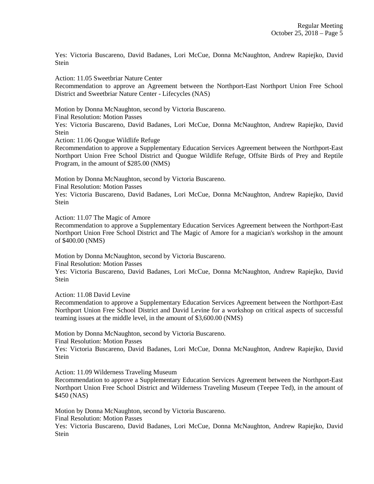Yes: Victoria Buscareno, David Badanes, Lori McCue, Donna McNaughton, Andrew Rapiejko, David **Stein** 

Action: 11.05 Sweetbriar Nature Center

Recommendation to approve an Agreement between the Northport-East Northport Union Free School District and Sweetbriar Nature Center - Lifecycles (NAS)

Motion by Donna McNaughton, second by Victoria Buscareno.

Final Resolution: Motion Passes

Yes: Victoria Buscareno, David Badanes, Lori McCue, Donna McNaughton, Andrew Rapiejko, David **Stein** 

Action: 11.06 Quogue Wildlife Refuge

Recommendation to approve a Supplementary Education Services Agreement between the Northport-East Northport Union Free School District and Quogue Wildlife Refuge, Offsite Birds of Prey and Reptile Program, in the amount of \$285.00 (NMS)

Motion by Donna McNaughton, second by Victoria Buscareno.

Final Resolution: Motion Passes

Yes: Victoria Buscareno, David Badanes, Lori McCue, Donna McNaughton, Andrew Rapiejko, David **Stein** 

Action: 11.07 The Magic of Amore

Recommendation to approve a Supplementary Education Services Agreement between the Northport-East Northport Union Free School District and The Magic of Amore for a magician's workshop in the amount of \$400.00 (NMS)

Motion by Donna McNaughton, second by Victoria Buscareno.

Final Resolution: Motion Passes

Yes: Victoria Buscareno, David Badanes, Lori McCue, Donna McNaughton, Andrew Rapiejko, David **Stein** 

Action: 11.08 David Levine

Recommendation to approve a Supplementary Education Services Agreement between the Northport-East Northport Union Free School District and David Levine for a workshop on critical aspects of successful teaming issues at the middle level, in the amount of \$3,600.00 (NMS)

Motion by Donna McNaughton, second by Victoria Buscareno.

Final Resolution: Motion Passes

Yes: Victoria Buscareno, David Badanes, Lori McCue, Donna McNaughton, Andrew Rapiejko, David Stein

Action: 11.09 Wilderness Traveling Museum

Recommendation to approve a Supplementary Education Services Agreement between the Northport-East Northport Union Free School District and Wilderness Traveling Museum (Teepee Ted), in the amount of \$450 (NAS)

Motion by Donna McNaughton, second by Victoria Buscareno.

Final Resolution: Motion Passes

Yes: Victoria Buscareno, David Badanes, Lori McCue, Donna McNaughton, Andrew Rapiejko, David Stein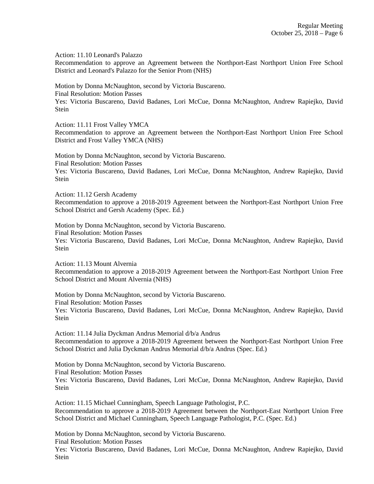Action: 11.10 Leonard's Palazzo

Recommendation to approve an Agreement between the Northport-East Northport Union Free School District and Leonard's Palazzo for the Senior Prom (NHS)

Motion by Donna McNaughton, second by Victoria Buscareno. Final Resolution: Motion Passes

Yes: Victoria Buscareno, David Badanes, Lori McCue, Donna McNaughton, Andrew Rapiejko, David Stein

Action: 11.11 Frost Valley YMCA

Recommendation to approve an Agreement between the Northport-East Northport Union Free School District and Frost Valley YMCA (NHS)

Motion by Donna McNaughton, second by Victoria Buscareno. Final Resolution: Motion Passes Yes: Victoria Buscareno, David Badanes, Lori McCue, Donna McNaughton, Andrew Rapiejko, David Stein

Action: 11.12 Gersh Academy

Recommendation to approve a 2018-2019 Agreement between the Northport-East Northport Union Free School District and Gersh Academy (Spec. Ed.)

Motion by Donna McNaughton, second by Victoria Buscareno. Final Resolution: Motion Passes Yes: Victoria Buscareno, David Badanes, Lori McCue, Donna McNaughton, Andrew Rapiejko, David Stein

Action: 11.13 Mount Alvernia Recommendation to approve a 2018-2019 Agreement between the Northport-East Northport Union Free School District and Mount Alvernia (NHS)

Motion by Donna McNaughton, second by Victoria Buscareno. Final Resolution: Motion Passes Yes: Victoria Buscareno, David Badanes, Lori McCue, Donna McNaughton, Andrew Rapiejko, David Stein

Action: 11.14 Julia Dyckman Andrus Memorial d/b/a Andrus Recommendation to approve a 2018-2019 Agreement between the Northport-East Northport Union Free School District and Julia Dyckman Andrus Memorial d/b/a Andrus (Spec. Ed.)

Motion by Donna McNaughton, second by Victoria Buscareno. Final Resolution: Motion Passes Yes: Victoria Buscareno, David Badanes, Lori McCue, Donna McNaughton, Andrew Rapiejko, David Stein

Action: 11.15 Michael Cunningham, Speech Language Pathologist, P.C. Recommendation to approve a 2018-2019 Agreement between the Northport-East Northport Union Free School District and Michael Cunningham, Speech Language Pathologist, P.C. (Spec. Ed.)

Motion by Donna McNaughton, second by Victoria Buscareno. Final Resolution: Motion Passes Yes: Victoria Buscareno, David Badanes, Lori McCue, Donna McNaughton, Andrew Rapiejko, David Stein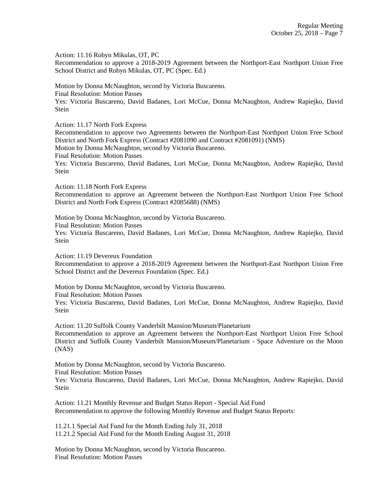Action: 11.16 Robyn Mikulas, OT, PC

Recommendation to approve a 2018-2019 Agreement between the Northport-East Northport Union Free School District and Robyn Mikulas, OT, PC (Spec. Ed.)

Motion by Donna McNaughton, second by Victoria Buscareno.

Final Resolution: Motion Passes

Yes: Victoria Buscareno, David Badanes, Lori McCue, Donna McNaughton, Andrew Rapiejko, David Stein

Action: 11.17 North Fork Express

Recommendation to approve two Agreements between the Northport-East Northport Union Free School District and North Fork Express (Contract #2081090 and Contract #2081091) (NMS) Motion by Donna McNaughton, second by Victoria Buscareno.

Final Resolution: Motion Passes

Yes: Victoria Buscareno, David Badanes, Lori McCue, Donna McNaughton, Andrew Rapiejko, David Stein

Action: 11.18 North Fork Express

Recommendation to approve an Agreement between the Northport-East Northport Union Free School District and North Fork Express (Contract #2085688) (NMS)

Motion by Donna McNaughton, second by Victoria Buscareno. Final Resolution: Motion Passes Yes: Victoria Buscareno, David Badanes, Lori McCue, Donna McNaughton, Andrew Rapiejko, David **Stein** 

Action: 11.19 Devereux Foundation Recommendation to approve a 2018-2019 Agreement between the Northport-East Northport Union Free School District and the Devereux Foundation (Spec. Ed.)

Motion by Donna McNaughton, second by Victoria Buscareno. Final Resolution: Motion Passes Yes: Victoria Buscareno, David Badanes, Lori McCue, Donna McNaughton, Andrew Rapiejko, David Stein

Action: 11.20 Suffolk County Vanderbilt Mansion/Museum/Planetarium Recommendation to approve an Agreement between the Northport-East Northport Union Free School District and Suffolk County Vanderbilt Mansion/Museum/Planetarium - Space Adventure on the Moon (NAS)

Motion by Donna McNaughton, second by Victoria Buscareno. Final Resolution: Motion Passes Yes: Victoria Buscareno, David Badanes, Lori McCue, Donna McNaughton, Andrew Rapiejko, David Stein

Action: 11.21 Monthly Revenue and Budget Status Report - Special Aid Fund Recommendation to approve the following Monthly Revenue and Budget Status Reports:

11.21.1 Special Aid Fund for the Month Ending July 31, 2018 11.21.2 Special Aid Fund for the Month Ending August 31, 2018

Motion by Donna McNaughton, second by Victoria Buscareno. Final Resolution: Motion Passes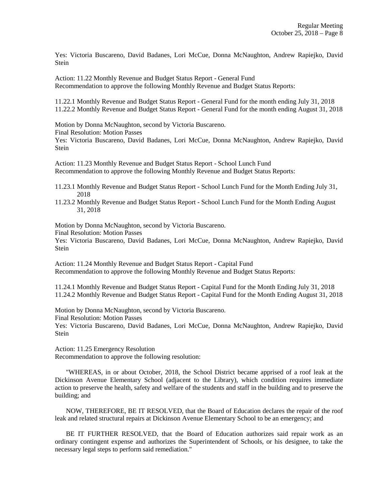Yes: Victoria Buscareno, David Badanes, Lori McCue, Donna McNaughton, Andrew Rapiejko, David **Stein** 

Action: 11.22 Monthly Revenue and Budget Status Report - General Fund Recommendation to approve the following Monthly Revenue and Budget Status Reports:

11.22.1 Monthly Revenue and Budget Status Report - General Fund for the month ending July 31, 2018 11.22.2 Monthly Revenue and Budget Status Report - General Fund for the month ending August 31, 2018

Motion by Donna McNaughton, second by Victoria Buscareno.

Final Resolution: Motion Passes

Yes: Victoria Buscareno, David Badanes, Lori McCue, Donna McNaughton, Andrew Rapiejko, David Stein

Action: 11.23 Monthly Revenue and Budget Status Report - School Lunch Fund Recommendation to approve the following Monthly Revenue and Budget Status Reports:

11.23.1 Monthly Revenue and Budget Status Report - School Lunch Fund for the Month Ending July 31, 2018

11.23.2 Monthly Revenue and Budget Status Report - School Lunch Fund for the Month Ending August 31, 2018

Motion by Donna McNaughton, second by Victoria Buscareno.

Final Resolution: Motion Passes

Yes: Victoria Buscareno, David Badanes, Lori McCue, Donna McNaughton, Andrew Rapiejko, David Stein

Action: 11.24 Monthly Revenue and Budget Status Report - Capital Fund Recommendation to approve the following Monthly Revenue and Budget Status Reports:

11.24.1 Monthly Revenue and Budget Status Report - Capital Fund for the Month Ending July 31, 2018 11.24.2 Monthly Revenue and Budget Status Report - Capital Fund for the Month Ending August 31, 2018

Motion by Donna McNaughton, second by Victoria Buscareno. Final Resolution: Motion Passes

Yes: Victoria Buscareno, David Badanes, Lori McCue, Donna McNaughton, Andrew Rapiejko, David Stein

Action: 11.25 Emergency Resolution Recommendation to approve the following resolution:

 "WHEREAS, in or about October, 2018, the School District became apprised of a roof leak at the Dickinson Avenue Elementary School (adjacent to the Library), which condition requires immediate action to preserve the health, safety and welfare of the students and staff in the building and to preserve the building; and

 NOW, THEREFORE, BE IT RESOLVED, that the Board of Education declares the repair of the roof leak and related structural repairs at Dickinson Avenue Elementary School to be an emergency; and

 BE IT FURTHER RESOLVED, that the Board of Education authorizes said repair work as an ordinary contingent expense and authorizes the Superintendent of Schools, or his designee, to take the necessary legal steps to perform said remediation."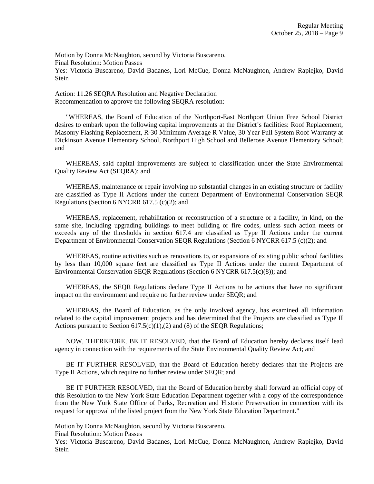Motion by Donna McNaughton, second by Victoria Buscareno. Final Resolution: Motion Passes Yes: Victoria Buscareno, David Badanes, Lori McCue, Donna McNaughton, Andrew Rapiejko, David Stein

Action: 11.26 SEQRA Resolution and Negative Declaration Recommendation to approve the following SEQRA resolution:

 "WHEREAS, the Board of Education of the Northport-East Northport Union Free School District desires to embark upon the following capital improvements at the District's facilities: Roof Replacement, Masonry Flashing Replacement, R-30 Minimum Average R Value, 30 Year Full System Roof Warranty at Dickinson Avenue Elementary School, Northport High School and Bellerose Avenue Elementary School; and

 WHEREAS, said capital improvements are subject to classification under the State Environmental Quality Review Act (SEQRA); and

 WHEREAS, maintenance or repair involving no substantial changes in an existing structure or facility are classified as Type II Actions under the current Department of Environmental Conservation SEQR Regulations (Section 6 NYCRR 617.5 (c)(2); and

 WHEREAS, replacement, rehabilitation or reconstruction of a structure or a facility, in kind, on the same site, including upgrading buildings to meet building or fire codes, unless such action meets or exceeds any of the thresholds in section 617.4 are classified as Type II Actions under the current Department of Environmental Conservation SEQR Regulations (Section 6 NYCRR 617.5 (c)(2); and

 WHEREAS, routine activities such as renovations to, or expansions of existing public school facilities by less than 10,000 square feet are classified as Type II Actions under the current Department of Environmental Conservation SEQR Regulations (Section 6 NYCRR 617.5(c)(8)); and

 WHEREAS, the SEQR Regulations declare Type II Actions to be actions that have no significant impact on the environment and require no further review under SEQR; and

 WHEREAS, the Board of Education, as the only involved agency, has examined all information related to the capital improvement projects and has determined that the Projects are classified as Type II Actions pursuant to Section  $617.5(c)(1),(2)$  and (8) of the SEQR Regulations;

 NOW, THEREFORE, BE IT RESOLVED, that the Board of Education hereby declares itself lead agency in connection with the requirements of the State Environmental Quality Review Act; and

 BE IT FURTHER RESOLVED, that the Board of Education hereby declares that the Projects are Type II Actions, which require no further review under SEQR; and

 BE IT FURTHER RESOLVED, that the Board of Education hereby shall forward an official copy of this Resolution to the New York State Education Department together with a copy of the correspondence from the New York State Office of Parks, Recreation and Historic Preservation in connection with its request for approval of the listed project from the New York State Education Department."

Motion by Donna McNaughton, second by Victoria Buscareno.

Final Resolution: Motion Passes

Yes: Victoria Buscareno, David Badanes, Lori McCue, Donna McNaughton, Andrew Rapiejko, David Stein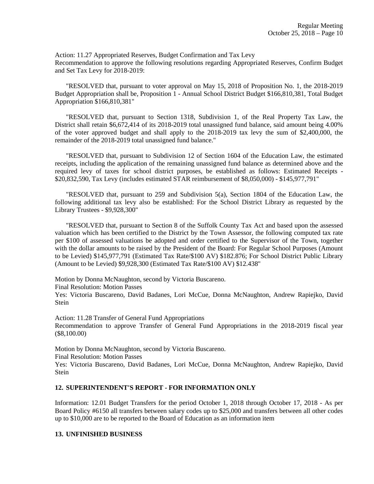Action: 11.27 Appropriated Reserves, Budget Confirmation and Tax Levy Recommendation to approve the following resolutions regarding Appropriated Reserves, Confirm Budget and Set Tax Levy for 2018-2019:

 "RESOLVED that, pursuant to voter approval on May 15, 2018 of Proposition No. 1, the 2018-2019 Budget Appropriation shall be, Proposition 1 - Annual School District Budget \$166,810,381, Total Budget Appropriation \$166,810,381"

 "RESOLVED that, pursuant to Section 1318, Subdivision 1, of the Real Property Tax Law, the District shall retain \$6,672,414 of its 2018-2019 total unassigned fund balance, said amount being 4.00% of the voter approved budget and shall apply to the 2018-2019 tax levy the sum of \$2,400,000, the remainder of the 2018-2019 total unassigned fund balance."

 "RESOLVED that, pursuant to Subdivision 12 of Section 1604 of the Education Law, the estimated receipts, including the application of the remaining unassigned fund balance as determined above and the required levy of taxes for school district purposes, be established as follows: Estimated Receipts - \$20,832,590, Tax Levy (includes estimated STAR reimbursement of \$8,050,000) - \$145,977,791"

 "RESOLVED that, pursuant to 259 and Subdivision 5(a), Section 1804 of the Education Law, the following additional tax levy also be established: For the School District Library as requested by the Library Trustees - \$9,928,300"

 "RESOLVED that, pursuant to Section 8 of the Suffolk County Tax Act and based upon the assessed valuation which has been certified to the District by the Town Assessor, the following computed tax rate per \$100 of assessed valuations be adopted and order certified to the Supervisor of the Town, together with the dollar amounts to be raised by the President of the Board: For Regular School Purposes (Amount to be Levied) \$145,977,791 (Estimated Tax Rate/\$100 AV) \$182.876; For School District Public Library (Amount to be Levied) \$9,928,300 (Estimated Tax Rate/\$100 AV) \$12.438"

Motion by Donna McNaughton, second by Victoria Buscareno.

Final Resolution: Motion Passes

Yes: Victoria Buscareno, David Badanes, Lori McCue, Donna McNaughton, Andrew Rapiejko, David Stein

Action: 11.28 Transfer of General Fund Appropriations Recommendation to approve Transfer of General Fund Appropriations in the 2018-2019 fiscal year (\$8,100.00)

Motion by Donna McNaughton, second by Victoria Buscareno.

Final Resolution: Motion Passes

Yes: Victoria Buscareno, David Badanes, Lori McCue, Donna McNaughton, Andrew Rapiejko, David Stein

## **12. SUPERINTENDENT'S REPORT - FOR INFORMATION ONLY**

Information: 12.01 Budget Transfers for the period October 1, 2018 through October 17, 2018 - As per Board Policy #6150 all transfers between salary codes up to \$25,000 and transfers between all other codes up to \$10,000 are to be reported to the Board of Education as an information item

## **13. UNFINISHED BUSINESS**